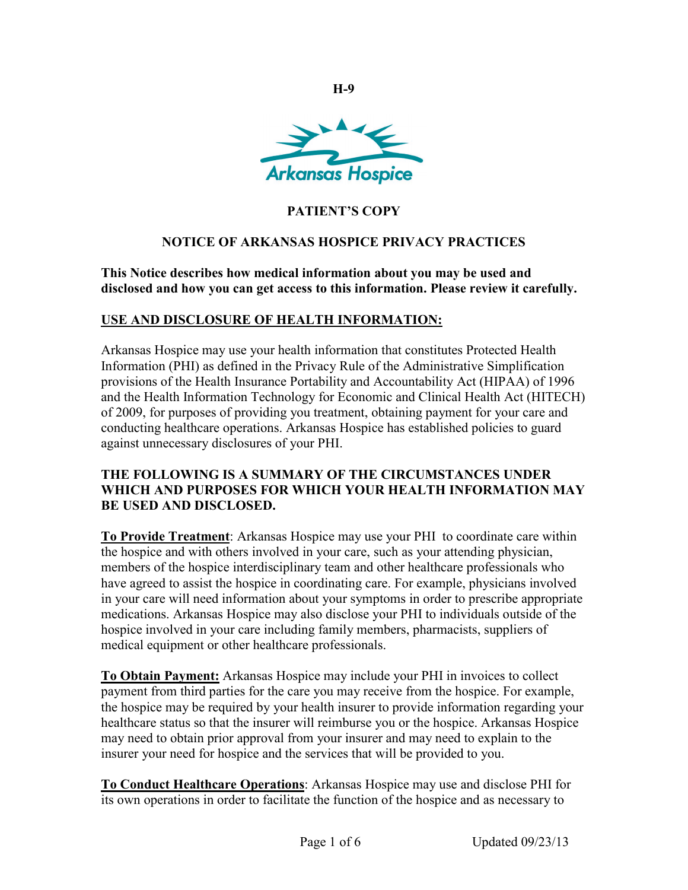

**H-9**

# **PATIENT'S COPY**

### **NOTICE OF ARKANSAS HOSPICE PRIVACY PRACTICES**

**This Notice describes how medical information about you may be used and disclosed and how you can get access to this information. Please review it carefully.**

### **USE AND DISCLOSURE OF HEALTH INFORMATION:**

Arkansas Hospice may use your health information that constitutes Protected Health Information (PHI) as defined in the Privacy Rule of the Administrative Simplification provisions of the Health Insurance Portability and Accountability Act (HIPAA) of 1996 and the Health Information Technology for Economic and Clinical Health Act (HITECH) of 2009, for purposes of providing you treatment, obtaining payment for your care and conducting healthcare operations. Arkansas Hospice has established policies to guard against unnecessary disclosures of your PHI.

#### **THE FOLLOWING IS A SUMMARY OF THE CIRCUMSTANCES UNDER WHICH AND PURPOSES FOR WHICH YOUR HEALTH INFORMATION MAY BE USED AND DISCLOSED.**

**To Provide Treatment**: Arkansas Hospice may use your PHI to coordinate care within the hospice and with others involved in your care, such as your attending physician, members of the hospice interdisciplinary team and other healthcare professionals who have agreed to assist the hospice in coordinating care. For example, physicians involved in your care will need information about your symptoms in order to prescribe appropriate medications. Arkansas Hospice may also disclose your PHI to individuals outside of the hospice involved in your care including family members, pharmacists, suppliers of medical equipment or other healthcare professionals.

**To Obtain Payment:** Arkansas Hospice may include your PHI in invoices to collect payment from third parties for the care you may receive from the hospice. For example, the hospice may be required by your health insurer to provide information regarding your healthcare status so that the insurer will reimburse you or the hospice. Arkansas Hospice may need to obtain prior approval from your insurer and may need to explain to the insurer your need for hospice and the services that will be provided to you.

**To Conduct Healthcare Operations**: Arkansas Hospice may use and disclose PHI for its own operations in order to facilitate the function of the hospice and as necessary to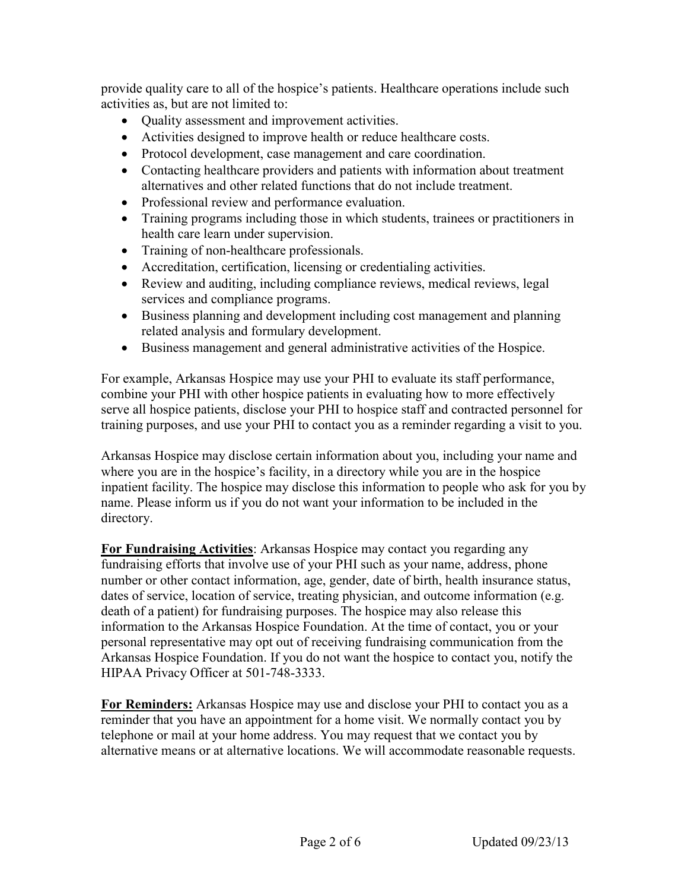provide quality care to all of the hospice's patients. Healthcare operations include such activities as, but are not limited to:

- Quality assessment and improvement activities.
- Activities designed to improve health or reduce healthcare costs.
- Protocol development, case management and care coordination.
- Contacting healthcare providers and patients with information about treatment alternatives and other related functions that do not include treatment.
- Professional review and performance evaluation.
- Training programs including those in which students, trainees or practitioners in health care learn under supervision.
- Training of non-healthcare professionals.
- Accreditation, certification, licensing or credentialing activities.
- Review and auditing, including compliance reviews, medical reviews, legal services and compliance programs.
- Business planning and development including cost management and planning related analysis and formulary development.
- Business management and general administrative activities of the Hospice.

For example, Arkansas Hospice may use your PHI to evaluate its staff performance, combine your PHI with other hospice patients in evaluating how to more effectively serve all hospice patients, disclose your PHI to hospice staff and contracted personnel for training purposes, and use your PHI to contact you as a reminder regarding a visit to you.

Arkansas Hospice may disclose certain information about you, including your name and where you are in the hospice's facility, in a directory while you are in the hospice inpatient facility. The hospice may disclose this information to people who ask for you by name. Please inform us if you do not want your information to be included in the directory.

**For Fundraising Activities**: Arkansas Hospice may contact you regarding any fundraising efforts that involve use of your PHI such as your name, address, phone number or other contact information, age, gender, date of birth, health insurance status, dates of service, location of service, treating physician, and outcome information (e.g. death of a patient) for fundraising purposes. The hospice may also release this information to the Arkansas Hospice Foundation. At the time of contact, you or your personal representative may opt out of receiving fundraising communication from the Arkansas Hospice Foundation. If you do not want the hospice to contact you, notify the HIPAA Privacy Officer at 501-748-3333.

**For Reminders:** Arkansas Hospice may use and disclose your PHI to contact you as a reminder that you have an appointment for a home visit. We normally contact you by telephone or mail at your home address. You may request that we contact you by alternative means or at alternative locations. We will accommodate reasonable requests.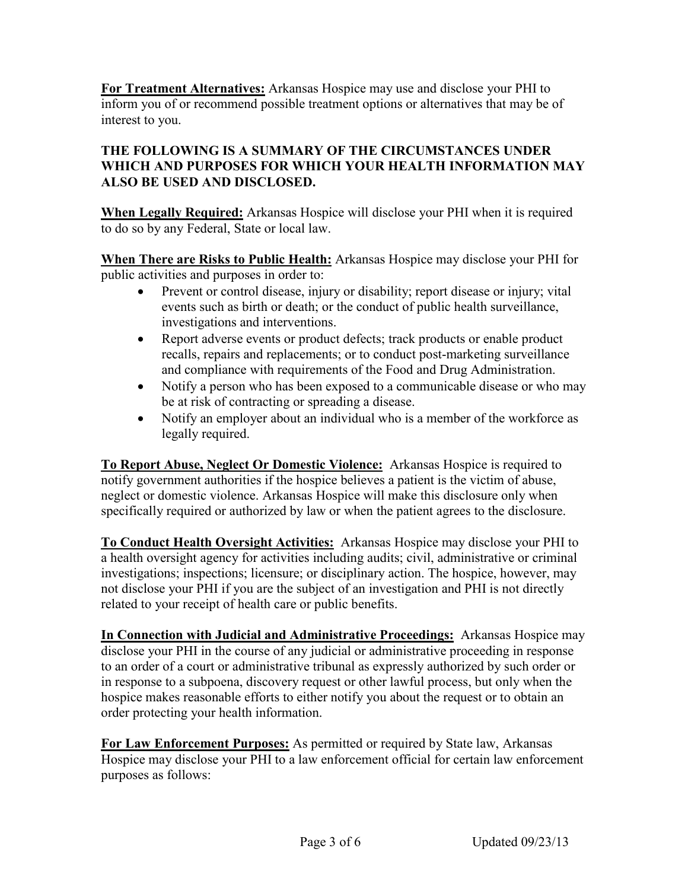**For Treatment Alternatives:** Arkansas Hospice may use and disclose your PHI to inform you of or recommend possible treatment options or alternatives that may be of interest to you.

### **THE FOLLOWING IS A SUMMARY OF THE CIRCUMSTANCES UNDER WHICH AND PURPOSES FOR WHICH YOUR HEALTH INFORMATION MAY ALSO BE USED AND DISCLOSED.**

**When Legally Required:** Arkansas Hospice will disclose your PHI when it is required to do so by any Federal, State or local law.

**When There are Risks to Public Health:** Arkansas Hospice may disclose your PHI for public activities and purposes in order to:

- Prevent or control disease, injury or disability; report disease or injury; vital events such as birth or death; or the conduct of public health surveillance, investigations and interventions.
- Report adverse events or product defects; track products or enable product recalls, repairs and replacements; or to conduct post-marketing surveillance and compliance with requirements of the Food and Drug Administration.
- Notify a person who has been exposed to a communicable disease or who may be at risk of contracting or spreading a disease.
- Notify an employer about an individual who is a member of the workforce as legally required.

**To Report Abuse, Neglect Or Domestic Violence:** Arkansas Hospice is required to notify government authorities if the hospice believes a patient is the victim of abuse, neglect or domestic violence. Arkansas Hospice will make this disclosure only when specifically required or authorized by law or when the patient agrees to the disclosure.

**To Conduct Health Oversight Activities:** Arkansas Hospice may disclose your PHI to a health oversight agency for activities including audits; civil, administrative or criminal investigations; inspections; licensure; or disciplinary action. The hospice, however, may not disclose your PHI if you are the subject of an investigation and PHI is not directly related to your receipt of health care or public benefits.

**In Connection with Judicial and Administrative Proceedings:** Arkansas Hospice may disclose your PHI in the course of any judicial or administrative proceeding in response to an order of a court or administrative tribunal as expressly authorized by such order or in response to a subpoena, discovery request or other lawful process, but only when the hospice makes reasonable efforts to either notify you about the request or to obtain an order protecting your health information.

**For Law Enforcement Purposes:** As permitted or required by State law, Arkansas Hospice may disclose your PHI to a law enforcement official for certain law enforcement purposes as follows: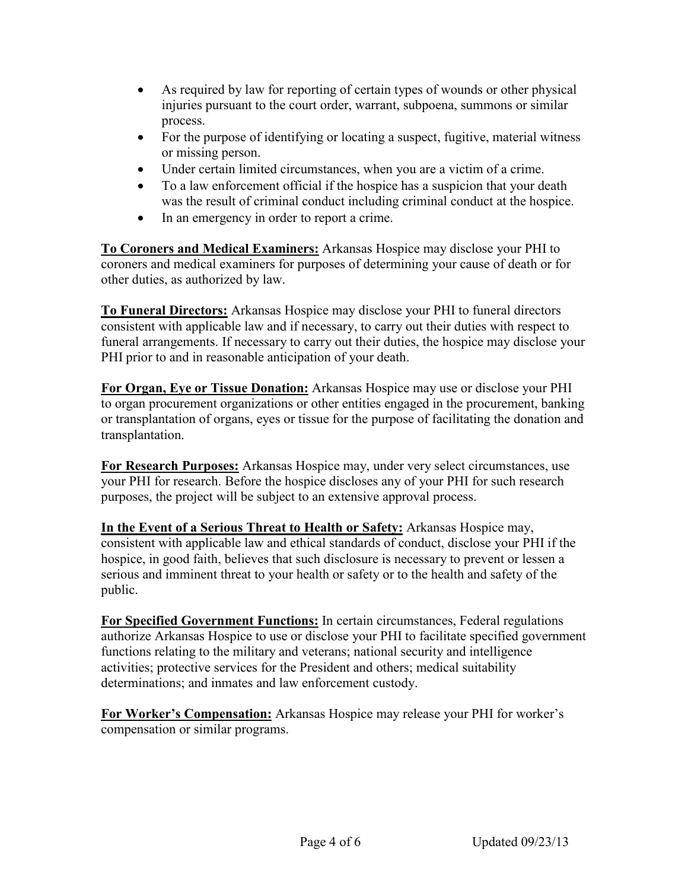- As required by law for reporting of certain types of wounds or other physical injuries pursuant to the court order, warrant, subpoena, summons or similar process.
- For the purpose of identifying or locating a suspect, fugitive, material witness or missing person.
- Under certain limited circumstances, when you are a victim of a crime.
- To a law enforcement official if the hospice has a suspicion that your death was the result of criminal conduct including criminal conduct at the hospice.
- In an emergency in order to report a crime.

**To Coroners and Medical Examiners:** Arkansas Hospice may disclose your PHI to coroners and medical examiners for purposes of determining your cause of death or for other duties, as authorized by law.

**To Funeral Directors:** Arkansas Hospice may disclose your PHI to funeral directors consistent with applicable law and if necessary, to carry out their duties with respect to funeral arrangements. If necessary to carry out their duties, the hospice may disclose your PHI prior to and in reasonable anticipation of your death.

**For Organ, Eye or Tissue Donation:** Arkansas Hospice may use or disclose your PHI to organ procurement organizations or other entities engaged in the procurement, banking or transplantation of organs, eyes or tissue for the purpose of facilitating the donation and transplantation.

**For Research Purposes:** Arkansas Hospice may, under very select circumstances, use your PHI for research. Before the hospice discloses any of your PHI for such research purposes, the project will be subject to an extensive approval process.

**In the Event of a Serious Threat to Health or Safety:** Arkansas Hospice may, consistent with applicable law and ethical standards of conduct, disclose your PHI if the hospice, in good faith, believes that such disclosure is necessary to prevent or lessen a serious and imminent threat to your health or safety or to the health and safety of the public.

**For Specified Government Functions:** In certain circumstances, Federal regulations authorize Arkansas Hospice to use or disclose your PHI to facilitate specified government functions relating to the military and veterans; national security and intelligence activities; protective services for the President and others; medical suitability determinations; and inmates and law enforcement custody.

**For Worker's Compensation:** Arkansas Hospice may release your PHI for worker's compensation or similar programs.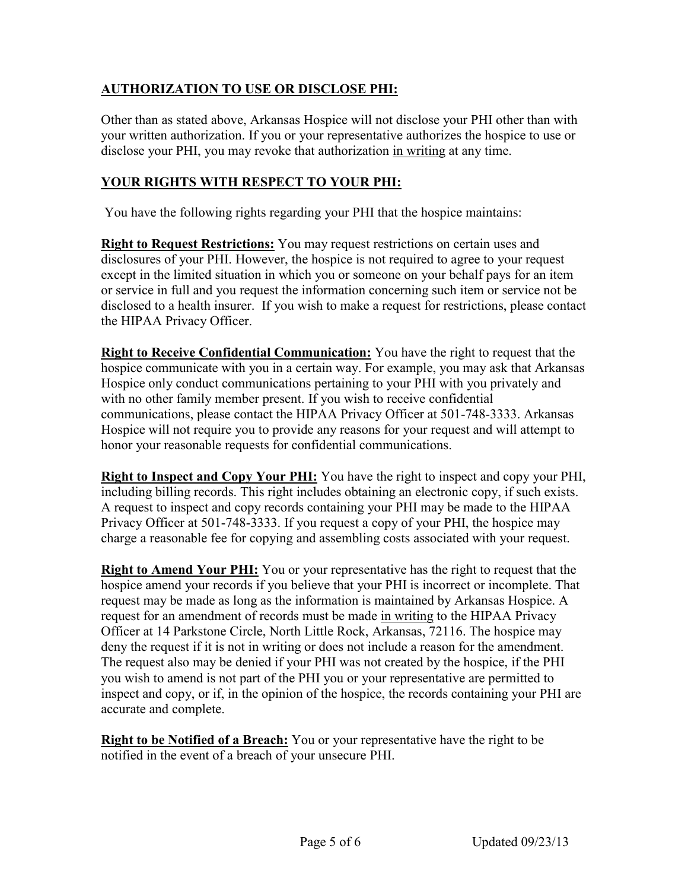# **AUTHORIZATION TO USE OR DISCLOSE PHI:**

Other than as stated above, Arkansas Hospice will not disclose your PHI other than with your written authorization. If you or your representative authorizes the hospice to use or disclose your PHI, you may revoke that authorization in writing at any time.

# **YOUR RIGHTS WITH RESPECT TO YOUR PHI:**

You have the following rights regarding your PHI that the hospice maintains:

**Right to Request Restrictions:** You may request restrictions on certain uses and disclosures of your PHI. However, the hospice is not required to agree to your request except in the limited situation in which you or someone on your behalf pays for an item or service in full and you request the information concerning such item or service not be disclosed to a health insurer. If you wish to make a request for restrictions, please contact the HIPAA Privacy Officer.

**Right to Receive Confidential Communication:** You have the right to request that the hospice communicate with you in a certain way. For example, you may ask that Arkansas Hospice only conduct communications pertaining to your PHI with you privately and with no other family member present. If you wish to receive confidential communications, please contact the HIPAA Privacy Officer at 501-748-3333. Arkansas Hospice will not require you to provide any reasons for your request and will attempt to honor your reasonable requests for confidential communications.

**Right to Inspect and Copy Your PHI:** You have the right to inspect and copy your PHI, including billing records. This right includes obtaining an electronic copy, if such exists. A request to inspect and copy records containing your PHI may be made to the HIPAA Privacy Officer at 501-748-3333. If you request a copy of your PHI, the hospice may charge a reasonable fee for copying and assembling costs associated with your request.

**Right to Amend Your PHI:** You or your representative has the right to request that the hospice amend your records if you believe that your PHI is incorrect or incomplete. That request may be made as long as the information is maintained by Arkansas Hospice. A request for an amendment of records must be made in writing to the HIPAA Privacy Officer at 14 Parkstone Circle, North Little Rock, Arkansas, 72116. The hospice may deny the request if it is not in writing or does not include a reason for the amendment. The request also may be denied if your PHI was not created by the hospice, if the PHI you wish to amend is not part of the PHI you or your representative are permitted to inspect and copy, or if, in the opinion of the hospice, the records containing your PHI are accurate and complete.

**Right to be Notified of a Breach:** You or your representative have the right to be notified in the event of a breach of your unsecure PHI.